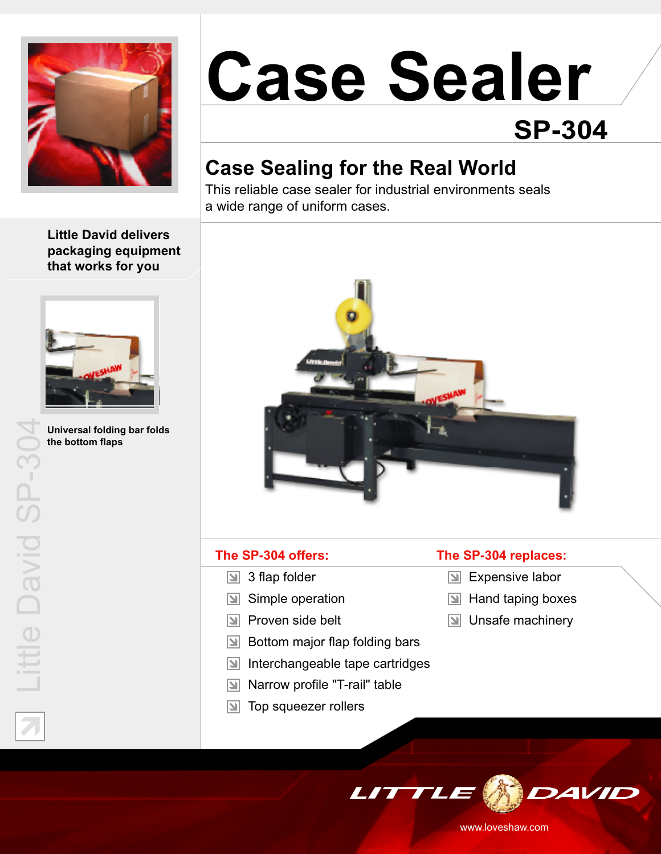

# **Case Sealer SP-304**

## **Case Sealing for the Real World**

This reliable case sealer for industrial environments seals a wide range of uniform cases.

**Little David delivers packaging equipment that works for you**



**Universal folding bar folds the bottom flaps**

Lit

tle

 $\Box$ 

vid

 $\mathcal{O}$ 

 $\Box$ 

2

4



#### **The SP-304 offers:**

- 3 flap folder  $\vert \mathbf{z} \vert$
- $\boxed{\triangleleft}$  Simple operation
- **N** Proven side belt
- $\boxed{\mathbb{N}}$  Bottom major flap folding bars
- $|\Delta|$ Interchangeable tape cartridges
- Narrow profile "T-rail" table  $\mathbf{N}$
- $\boxed{\triangleleft}$  Top squeezer rollers

#### **The SP-304 replaces:**

- **Expensive labor**
- $\boxed{\triangleleft}$  Hand taping boxes
- $\boxed{\mathbf{N}}$  Unsafe machinery



www.loveshaw.com